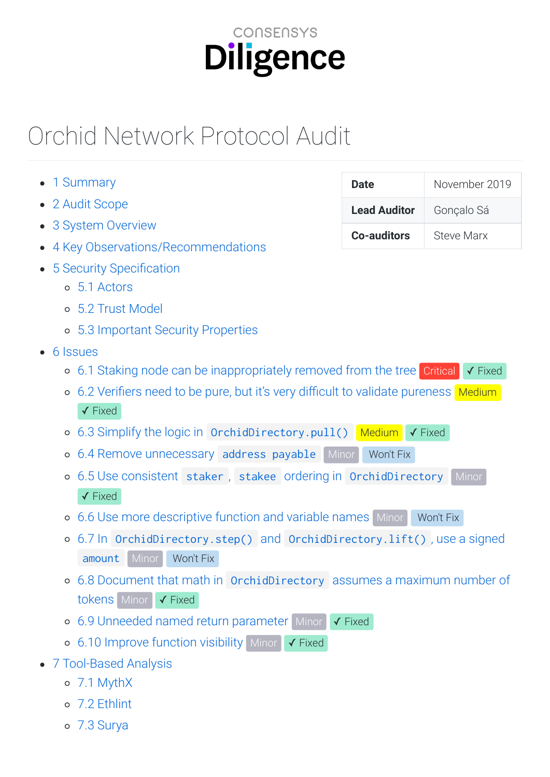# CONSENSYS Diligence

# Orchid
Network
Protocol
Audit

| 1 Summary                                                                                     | <b>Date</b>         | November 2019           |
|-----------------------------------------------------------------------------------------------|---------------------|-------------------------|
| 2 Audit Scope                                                                                 | <b>Lead Auditor</b> | Gonçalo Sá              |
| 3 System Overview<br>$\bullet$                                                                | <b>Co-auditors</b>  | <b>Steve Marx</b>       |
| 4 Key Observations/Recommendations                                                            |                     |                         |
| 5 Security Specification                                                                      |                     |                         |
| 5.1 Actors<br>$\circ$                                                                         |                     |                         |
| 5.2 Trust Model<br>$\circ$                                                                    |                     |                         |
| ○ 5.3 Important Security Properties                                                           |                     |                         |
| $\bullet$ 6 Issues                                                                            |                     |                         |
| 6.1 Staking node can be inappropriately removed from the tree Critical<br>$\circ$             |                     | $\checkmark$ Fixed      |
| 6.2 Verifiers need to be pure, but it's very difficult to validate pureness Medium<br>$\circ$ |                     |                         |
| $\checkmark$ Fixed                                                                            |                     |                         |
| 6.3 Simplify the logic in OrchidDirectory.pull() Medium<br>$\circ$                            |                     | $\sqrt{\mathsf{Fixed}}$ |
| Minor<br>6.4 Remove unnecessary address payable<br>$\circ$                                    | Won't Fix           |                         |
| 6.5 Use consistent staker, stakee ordering in OrchidDirectory Minor<br>$\circ$                |                     |                         |
| $\checkmark$ Fixed                                                                            |                     |                         |
| 6.6 Use more descriptive function and variable names Minor<br>$\circ$                         |                     | Won't Fix               |
| 6.7 In OrchidDirectory.step() and OrchidDirectory.lift(), use a signed<br>$\circ$             |                     |                         |
| Won't Fix<br>amount<br>Minor                                                                  |                     |                         |
| 6.8 Document that math in OrchidDirectory assumes a maximum number of                         |                     |                         |
| tokens Minor √ Fixed                                                                          |                     |                         |
| 6.9 Unneeded named return parameter Minor<br>$\circ$                                          | $\checkmark$ Fixed  |                         |
| ○ 6.10 Improve function visibility Minor √ Fixed                                              |                     |                         |
| • 7 Tool-Based Analysis                                                                       |                     |                         |
| o 7.1 MythX                                                                                   |                     |                         |
|                                                                                               |                     |                         |

- [7.2
Ethlint](#page-21-1)
- [7.3
Surya](#page-23-0)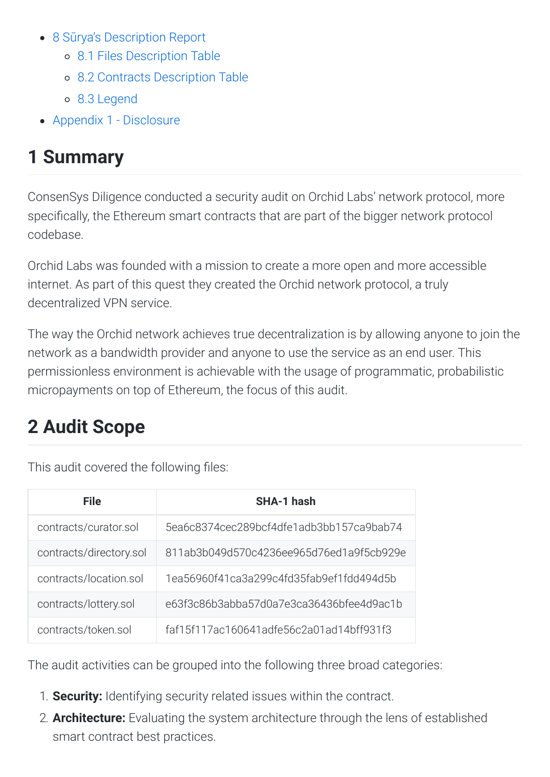- 8 Sūrya's Description Report
	- [8.1
	Files
	Description
	Table](#page-23-1)
	- [8.2
	Contracts
	Description
	Table](#page-23-2)
	- [8.3
	Legend](#page-26-0)
- Appendix 1 Disclosure

# <span id="page-1-0"></span>**1
Summary**

ConsenSys
Diligence
conducted
a
security
audit
on
Orchid
Labs'
network
protocol,
more specifically, the Ethereum smart contracts that are part of the bigger network protocol codebase.

Orchid Labs was founded with a mission to create a more open and more accessible internet. As part of this quest they created the Orchid network protocol, a truly decentralized
VPN
service.

The way the Orchid network achieves true decentralization is by allowing anyone to join the network as a bandwidth provider and anyone to use the service as an end user. This permissionless
environment
is
achievable
with
the
usage
of
programmatic,
probabilistic micropayments on top of Ethereum, the focus of this audit.

# <span id="page-1-1"></span>**2
Audit
Scope**

This audit covered the following files:

| <b>File</b>             | SHA-1 hash                               |
|-------------------------|------------------------------------------|
| contracts/curator.sol   | 5ea6c8374cec289bcf4dfe1adb3bb157ca9bab74 |
| contracts/directory.sol | 811ab3b049d570c4236ee965d76ed1a9f5cb929e |
| contracts/location.sol  | 1ea56960f41ca3a299c4fd35fab9ef1fdd494d5b |
| contracts/lottery.sol   | e63f3c86b3abba57d0a7e3ca36436bfee4d9ac1b |
| contracts/token.sol     | faf15f117ac160641adfe56c2a01ad14bff931f3 |

The
audit
activities
can
be
grouped
into
the
following
three
broad
categories:

- 1. **Security:** Identifying security related issues within the contract.
- 2. **Architecture:** Evaluating the system architecture through the lens of established smart
contract
best
practices.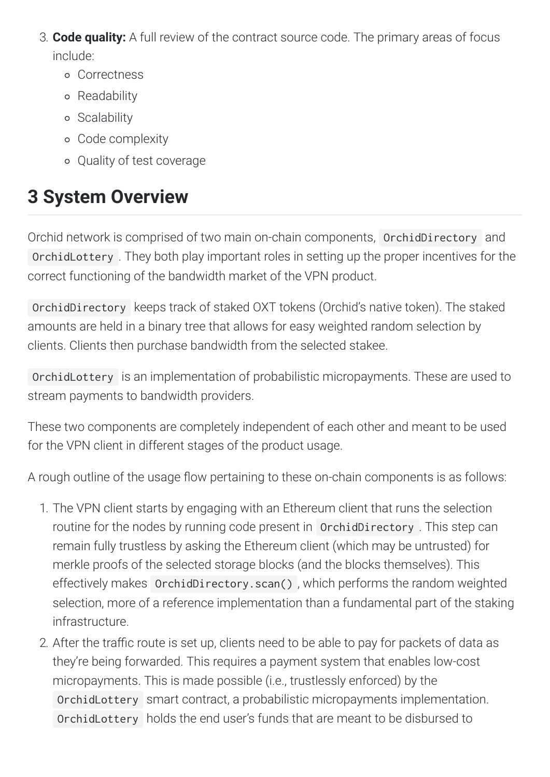- 3. **Code quality:** A full review of the contract source code. The primary areas of focus include:
	- Correctness
	- Readability
	- o Scalability
	- Code
	complexity
	- Quality
	of
	test
	coverage

# <span id="page-2-0"></span>**3
System
Overview**

Orchid network is comprised of two main on-chain components, OrchidDirectory and OrchidLottery .
They
both
play
important
roles
in
setting
up
the
proper
incentives
for
the correct
functioning
of
the
bandwidth
market
of
the
VPN
product.

OrchidDirectory keeps
track
of
staked
OXT
tokens
(Orchid's
native
token).
The
staked amounts
are
held
in
a
binary
tree
that
allows
for
easy
weighted
random
selection
by clients.
Clients
then
purchase
bandwidth
from
the
selected
stakee.

OrchidLottery is
an
implementation
of
probabilistic
micropayments.
These
are
used
to stream
payments
to
bandwidth
providers.

These two components are completely independent of each other and meant to be used for
the
VPN
client
in
different
stages
of
the
product
usage.

A rough outline of the usage flow pertaining to these on-chain components is as follows:

- 1. The VPN client starts by engaging with an Ethereum client that runs the selection routine for the nodes by running code present in OrchidDirectory. This step can remain fully trustless by asking the Ethereum client (which may be untrusted) for merkle proofs of the selected storage blocks (and the blocks themselves). This effectively
makes OrchidDirectory.scan() ,
which
performs
the
random
weighted selection, more of a reference implementation than a fundamental part of the staking infrastructure.
- 2. After the traffic route is set up, clients need to be able to pay for packets of data as they're
being
forwarded.
This
requires
a
payment
system
that
enables
low-cost micropayments. This is made possible (i.e., trustlessly enforced) by the OrchidLottery smart
contract,
a
probabilistic
micropayments
implementation. OrchidLottery holds the end user's funds that are meant to be disbursed to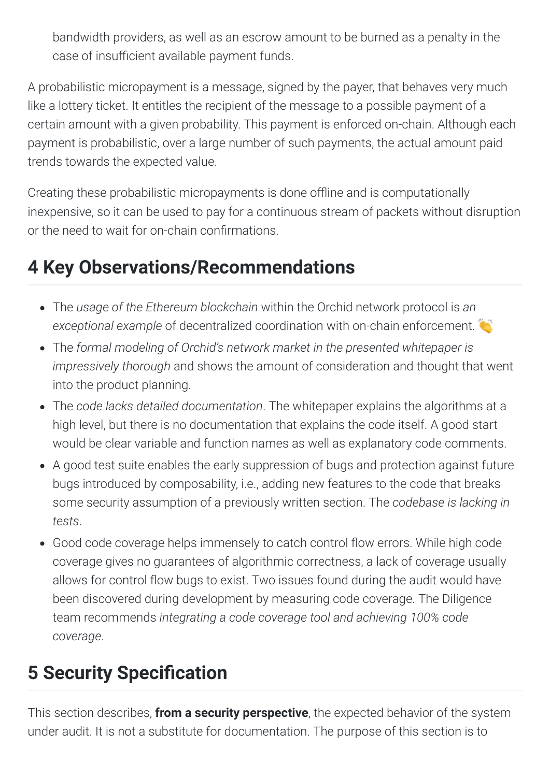bandwidth providers, as well as an escrow amount to be burned as a penalty in the case of insufficient available payment funds.

A probabilistic micropayment is a message, signed by the payer, that behaves very much like a lottery ticket. It entitles the recipient of the message to a possible payment of a certain
amount
with
a
given
probability.
This
payment
is
enforced
on-chain.
Although
each payment is probabilistic, over a large number of such payments, the actual amount paid trends towards the expected value.

Creating these probabilistic micropayments is done offline and is computationally inexpensive, so it can be used to pay for a continuous stream of packets without disruption or
the
need
to
wait
for
on-chain
conrmations.

# <span id="page-3-0"></span>**4
Key
Observations/Recommendations**

- The usage of the Ethereum blockchain within the Orchid network protocol is an exceptional example of decentralized coordination with on-chain enforcement.
- The formal modeling of Orchid's network market in the presented whitepaper is impressively thorough and shows the amount of consideration and thought that went into
the
product
planning.
- The code lacks detailed documentation. The whitepaper explains the algorithms at a high level, but there is no documentation that explains the code itself. A good start would be clear variable and function names as well as explanatory code comments.
- A good test suite enables the early suppression of bugs and protection against future bugs
introduced
by
composability,
i.e.,
adding
new
features
to
the
code
that
breaks some
security
assumption
of
a
previously
written
section.
The *codebase
is
lacking
in tests*.
- Good code coverage helps immensely to catch control flow errors. While high code coverage
gives
no
guarantees
of
algorithmic
correctness,
a
lack
of
coverage
usually allows for control flow bugs to exist. Two issues found during the audit would have been
discovered
during
development
by
measuring
code
coverage.
The
Diligence team
recommends *integrating
a
code
coverage
tool
and
achieving
100%
code coverage*.

# <span id="page-3-1"></span>**5 Security Specification**

This section describes, **from a security perspective**, the expected behavior of the system under audit. It is not a substitute for documentation. The purpose of this section is to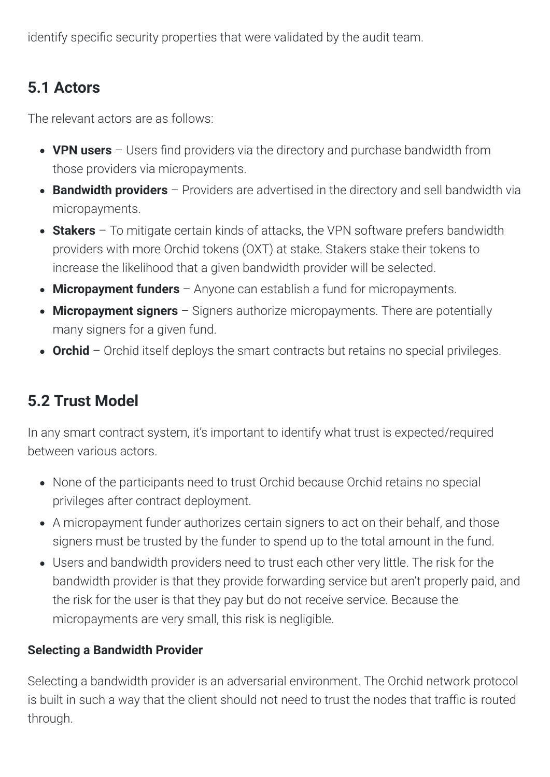identify specific security properties that were validated by the audit team.

## <span id="page-4-0"></span>**5.1
Actors**

The
relevant
actors
are
as
follows:

- VPN users Users find providers via the directory and purchase bandwidth from those
providers
via
micropayments.
- **Bandwidth providers** Providers are advertised in the directory and sell bandwidth via micropayments.
- **Stakers** To mitigate certain kinds of attacks, the VPN software prefers bandwidth providers
with
more
Orchid
tokens
(OXT)
at
stake.
Stakers
stake
their
tokens
to increase
the
likelihood
that
a
given
bandwidth
provider
will
be
selected.
- **Micropayment funders** Anyone can establish a fund for micropayments.
- **Micropayment signers** Signers authorize micropayments. There are potentially many
signers
for
a
given
fund.
- Orchid Orchid itself deploys the smart contracts but retains no special privileges.

## <span id="page-4-1"></span>**5.2
Trust
Model**

In any smart contract system, it's important to identify what trust is expected/required between
various
actors.

- None of the participants need to trust Orchid because Orchid retains no special privileges
after
contract
deployment.
- A micropayment funder authorizes certain signers to act on their behalf, and those signers must be trusted by the funder to spend up to the total amount in the fund.
- Users and bandwidth providers need to trust each other very little. The risk for the bandwidth provider is that they provide forwarding service but aren't properly paid, and the risk for the user is that they pay but do not receive service. Because the micropayments
are
very
small,
this
risk
is
negligible.

## **Selecting
a
Bandwidth
Provider**

Selecting a bandwidth provider is an adversarial environment. The Orchid network protocol is built in such a way that the client should not need to trust the nodes that traffic is routed through.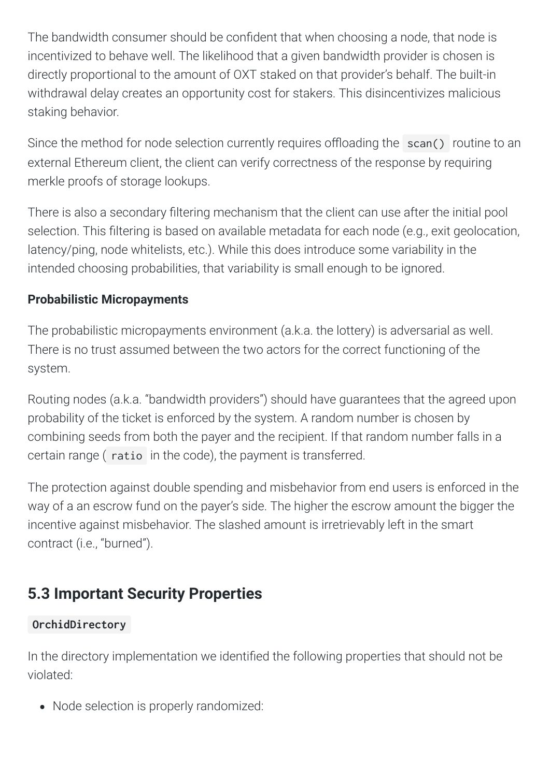The bandwidth consumer should be confident that when choosing a node, that node is incentivized to behave well. The likelihood that a given bandwidth provider is chosen is directly proportional to the amount of OXT staked on that provider's behalf. The built-in withdrawal delay creates an opportunity cost for stakers. This disincentivizes malicious staking
behavior.

Since the method for node selection currently requires offloading the scan() routine to an external Ethereum client, the client can verify correctness of the response by requiring merkle
proofs
of
storage
lookups.

There is also a secondary filtering mechanism that the client can use after the initial pool selection. This filtering is based on available metadata for each node (e.g., exit geolocation, latency/ping, node whitelists, etc.). While this does introduce some variability in the intended
choosing
probabilities,
that
variability
is
small
enough
to
be
ignored.

## **Probabilistic
Micropayments**

The probabilistic micropayments environment (a.k.a. the lottery) is adversarial as well. There is no trust assumed between the two actors for the correct functioning of the system.

Routing nodes (a.k.a. "bandwidth providers") should have quarantees that the agreed upon probability
of
the
ticket
is
enforced
by
the
system.
A
random
number
is
chosen
by combining seeds from both the payer and the recipient. If that random number falls in a certain
range
( ratio in
the
code),
the
payment
is
transferred.

The protection against double spending and misbehavior from end users is enforced in the way of a an escrow fund on the payer's side. The higher the escrow amount the bigger the incentive against misbehavior. The slashed amount is irretrievably left in the smart contract
(i.e.,
"burned").

# <span id="page-5-0"></span>**5.3
Important
Security
Properties**

## **OrchidDirectory**

In the directory implementation we identified the following properties that should not be violated:

• Node selection is properly randomized: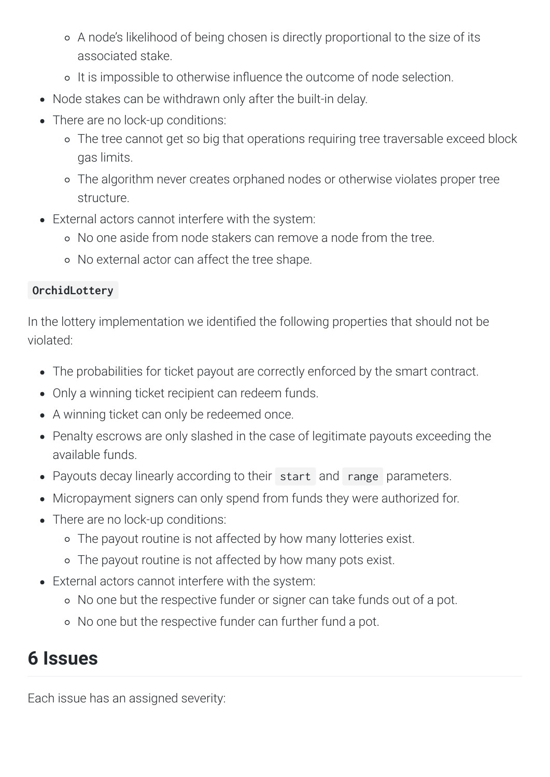- o A node's likelihood of being chosen is directly proportional to the size of its associated
stake.
- o It is impossible to otherwise influence the outcome of node selection.
- Node stakes can be withdrawn only after the built-in delay.
- There are no lock-up conditions:
	- The
	tree
	cannot
	get
	so
	big
	that
	operations
	requiring
	tree
	traversable
	exceed
	block gas
	limits.
	- The
	algorithm
	never
	creates
	orphaned
	nodes
	or
	otherwise
	violates
	proper
	tree structure.
- External actors cannot interfere with the system:
	- No
	one
	aside
	from
	node
	stakers
	can
	remove
	a
	node
	from
	the
	tree.
	- No
	external
	actor
	can
	affect
	the
	tree
	shape.

## **OrchidLottery**

In the lottery implementation we identified the following properties that should not be violated:

- The probabilities for ticket payout are correctly enforced by the smart contract.
- Only a winning ticket recipient can redeem funds.
- A winning ticket can only be redeemed once.
- Penalty escrows are only slashed in the case of legitimate payouts exceeding the available
funds.
- Payouts decay linearly according to their start and range parameters.
- Micropayment signers can only spend from funds they were authorized for.
- There are no lock-up conditions:
	- The
	payout
	routine
	is
	not
	affected
	by
	how
	many
	lotteries
	exist.
	- The
	payout
	routine
	is
	not
	affected
	by
	how
	many
	pots
	exist.
- External actors cannot interfere with the system:
	- o No one but the respective funder or signer can take funds out of a pot.
	- o No one but the respective funder can further fund a pot.

# <span id="page-6-0"></span>**6
Issues**

Each
issue
has
an
assigned
severity: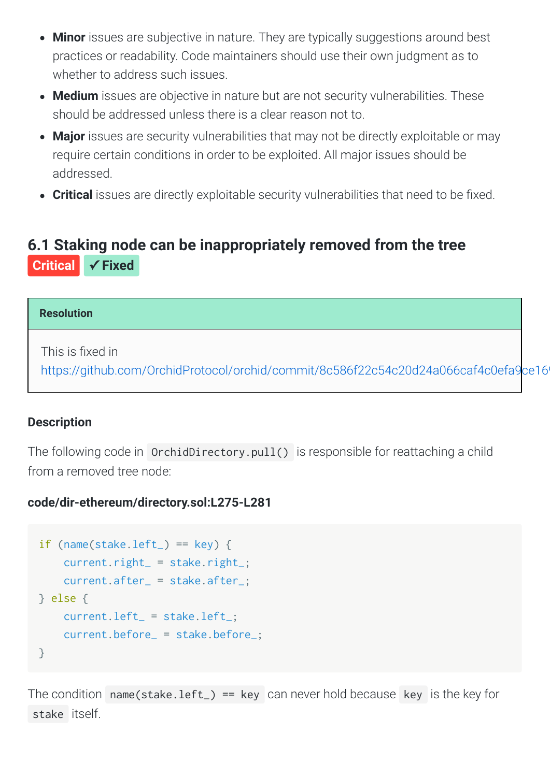- Minor issues are subjective in nature. They are typically suggestions around best practices
or
readability.
Code
maintainers
should
use
their
own
judgment
as
to whether
to
address
such
issues.
- Medium issues are objective in nature but are not security vulnerabilities. These should be addressed unless there is a clear reason not to.
- Major issues are security vulnerabilities that may not be directly exploitable or may require
certain
conditions
in
order
to
be
exploited.
All
major
issues
should
be addressed.
- **Critical** issues are directly exploitable security vulnerabilities that need to be fixed.

## <span id="page-7-0"></span>**[6.1
Staking
node
can
be
inappropriately
removed
from
the
tree](#page-7-0) Critical ✓ Fixed**

### **Resolution**

This is fixed in

https://github.com/OrchidProtocol/orchid/commit/8c586f22c54c20d24a066caf4c0efa9ce16

## **Description**

The following code in OrchidDirectory.pull() is responsible for reattaching a child from a removed tree node:

## **code/dir-ethereum/directory.sol:L275-L281**

```
if (name(stake.left_) == key) {

current.right_ = stake.right_;

current.after_ = stake.after_;
} else {

current.left_ = stake.left_;

current.before_ = stake.before_;
}
```
The condition name(stake.left\_) == key can never hold because key is the key for stake itself.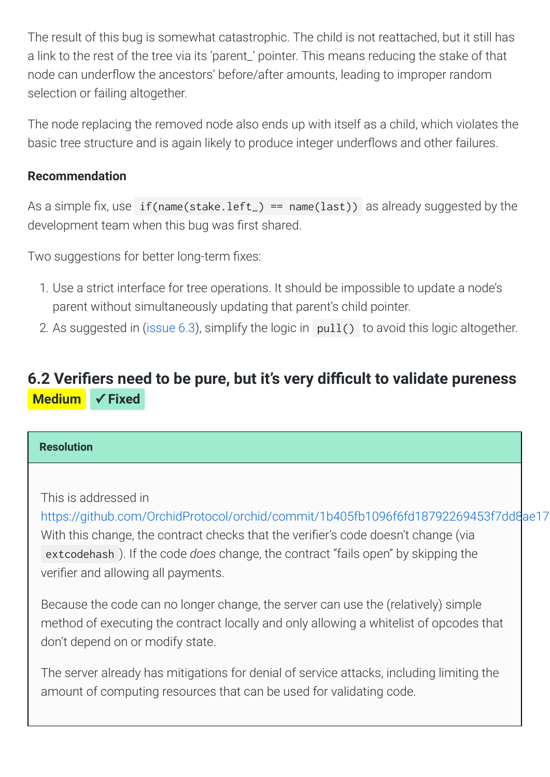The result of this bug is somewhat catastrophic. The child is not reattached, but it still has a link to the rest of the tree via its 'parent\_' pointer. This means reducing the stake of that node can underflow the ancestors' before/after amounts, leading to improper random selection
or
failing
altogether.

The node replacing the removed node also ends up with itself as a child, which violates the basic tree structure and is again likely to produce integer underflows and other failures.

## **Recommendation**

As a simple fix, use if(name(stake.left\_) ==  $nameu)$  as already suggested by the development team when this bug was first shared.

Two
suggestions
for
better
long-term
xes:

- 1.
Use
a
strict
interface
for
tree
operations.
It
should
be
impossible
to
update
a
node's parent
without
simultaneously
updating
that
parent's
child
pointer.
- 2. As suggested in (issue  $6.3$ ), simplify the logic in  $pull()$  to avoid this logic altogether.

## <span id="page-8-0"></span>6.2 Verifiers need to be pure, but it's very difficult to validate pureness **Medium ✓ Fixed**

### **Resolution**

## This
is
addressed
in

[https://github.com/OrchidProtocol/orchid/commit/1b405fb1096f6fd18792269453f7dd8ae17](https://github.com/OrchidProtocol/orchid/commit/1b405fb1096f6fd18792269453f7dd8ae17f2d9b) With this change, the contract checks that the verifier's code doesn't change (via extcodehash). If the code *does* change, the contract "fails open" by skipping the verifier and allowing all payments.

Because the code can no longer change, the server can use the (relatively) simple method of executing the contract locally and only allowing a whitelist of opcodes that don't depend on or modify state.

The server already has mitigations for denial of service attacks, including limiting the amount of computing resources that can be used for validating code.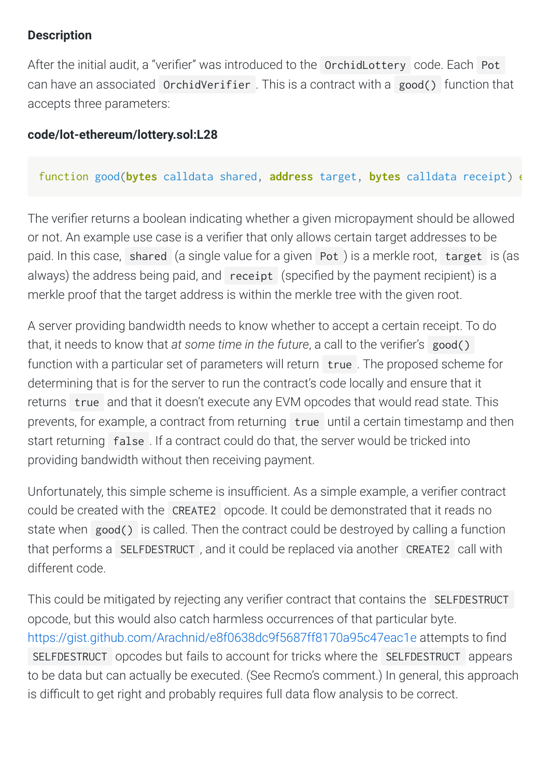## **Description**

After the initial audit, a "verifier" was introduced to the OrchidLottery code. Each Pot can have an associated OrchidVerifier. This is a contract with a good() function that accepts
three
parameters:

## **code/lot-ethereum/lottery.sol:L28**

## function good(**bytes** calldata shared, **address** target, **bytes** calldata receipt) e

The verifier returns a boolean indicating whether a given micropayment should be allowed or not. An example use case is a verifier that only allows certain target addresses to be paid. In this case, shared (a single value for a given Pot) is a merkle root, target is (as always) the address being paid, and receipt (specified by the payment recipient) is a merkle proof that the target address is within the merkle tree with the given root.

A server providing bandwidth needs to know whether to accept a certain receipt. To do that, it needs to know that at some time in the future, a call to the verifier's good() function with a particular set of parameters will return true. The proposed scheme for determining that is for the server to run the contract's code locally and ensure that it returns true and that it doesn't execute any EVM opcodes that would read state. This prevents, for example, a contract from returning true until a certain timestamp and then start returning false. If a contract could do that, the server would be tricked into providing
bandwidth
without
then
receiving
payment.

Unfortunately, this simple scheme is insufficient. As a simple example, a verifier contract could
be
created
with
the CREATE2 opcode.
It
could
be
demonstrated
that
it
reads
no state when good() is called. Then the contract could be destroyed by calling a function that performs a SELFDESTRUCT, and it could be replaced via another CREATE2 call with different
code.

This could be mitigated by rejecting any verifier contract that contains the SELFDESTRUCT opcode,
but
this
would
also
catch
harmless
occurrences
of
that
particular
byte. <https://gist.github.com/Arachnid/e8f0638dc9f5687ff8170a95c47eac1e> attempts to find SELFDESTRUCT opcodes but fails to account for tricks where the SELFDESTRUCT appears to be data but can actually be executed. (See Recmo's comment.) In general, this approach is difficult to get right and probably requires full data flow analysis to be correct.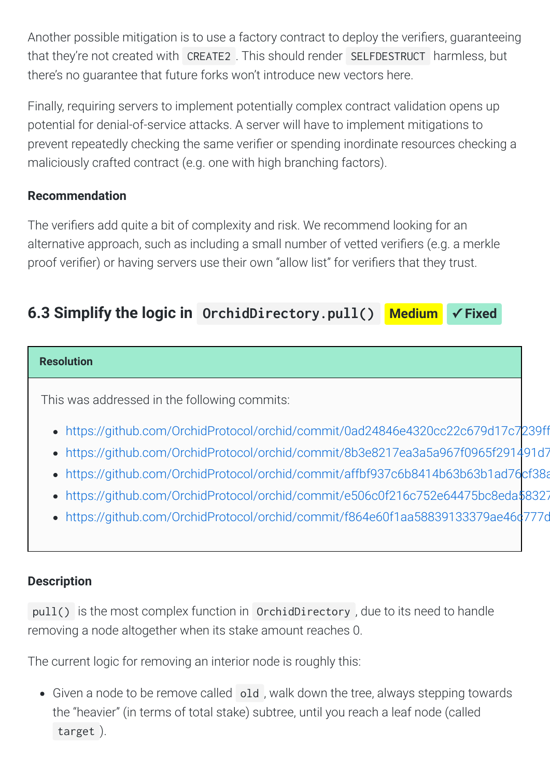Another possible mitigation is to use a factory contract to deploy the verifiers, quaranteeing that
they're
not
created
with CREATE2 .
This
should
render SELFDESTRUCT harmless,
but there's no quarantee that future forks won't introduce new vectors here.

Finally, requiring servers to implement potentially complex contract validation opens up potential
for
denial-of-service
attacks.
A
server
will
have
to
implement
mitigations
to prevent repeatedly checking the same verifier or spending inordinate resources checking a maliciously
crafted
contract
(e.g.
one
with
high
branching
factors).

## **Recommendation**

The verifiers add quite a bit of complexity and risk. We recommend looking for an alternative approach, such as including a small number of vetted verifiers (e.g. a merkle proof verifier) or having servers use their own "allow list" for verifiers that they trust.

## <span id="page-10-0"></span>**6.3
Simplify
the
logic
in [OrchidDirectory.pull\(\)](#page-10-0) Medium ✓ Fixed**

### **Resolution**

This
was
addressed
in
the
following
commits:

- [https://github.com/OrchidProtocol/orchid/commit/0ad24846e4320cc22c679d17c7239ff](https://github.com/OrchidProtocol/orchid/commit/0ad24846e4320cc22c679d17c7239ff53d7640a8)
- [https://github.com/OrchidProtocol/orchid/commit/8b3e8217ea3a5a967f0965f291491d7](https://github.com/OrchidProtocol/orchid/commit/8b3e8217ea3a5a967f0965f291491d70baa748ac)
- [https://github.com/OrchidProtocol/orchid/commit/affbf937c6b8414b63b63b1ad76cf38a](https://github.com/OrchidProtocol/orchid/commit/affbf937c6b8414b63b63b1ad76cf38ab965e3a2)
- [https://github.com/OrchidProtocol/orchid/commit/e506c0f216c752e64475bc8eda58327](https://github.com/OrchidProtocol/orchid/commit/e506c0f216c752e64475bc8eda58327296a22da6)
- https://github.com/OrchidProtocol/orchid/commit/f864e60f1aa58839133379ae46d777c

## **Description**

pull() is
the
most
complex
function
in OrchidDirectory ,
due
to
its
need
to
handle removing
a
node
altogether
when
its
stake
amount
reaches
0.

The current logic for removing an interior node is roughly this:

• Given a node to be remove called old, walk down the tree, always stepping towards the
"heavier"
(in
terms
of
total
stake)
subtree,
until
you
reach
a
leaf
node
(called target ).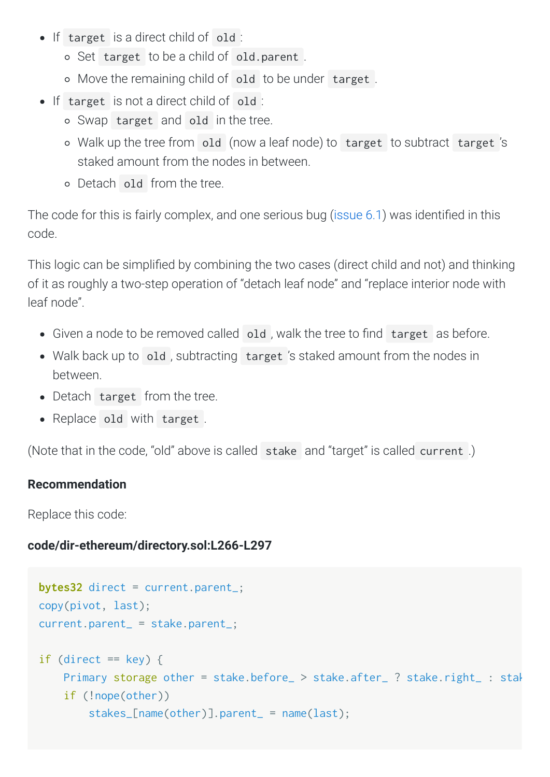- If target is a direct child of old :
	- o Set target to be a child of old.parent.
	- o Move the remaining child of old to be under target.
- If target is not a direct child of old :
	- Swap target and old in
	the
	tree.
	- o Walk up the tree from old (now a leaf node) to target to subtract target's staked
	amount
	from
	the
	nodes
	in
	between.
	- Detach old from
	the
	tree.

The code for this is fairly complex, and one serious bug (issue 6.1) was identified in this code.

This logic can be simplified by combining the two cases (direct child and not) and thinking of
it
as
roughly
a
two-step
operation
of
"detach
leaf
node"
and
"replace
interior
node
with leaf
node".

- Given a node to be removed called old, walk the tree to find target as before.
- Walk back up to old, subtracting target 's staked amount from the nodes in between.
- Detach target from the tree.
- Replace old with target.

(Note that in the code, "old" above is called stake and "target" is called current.)

## **Recommendation**

Replace
this
code:

## **code/dir-ethereum/directory.sol:L266-L297**

```
bytes32 direct = current.parent_;
copy(pivot, last);
current.parent_ = stake.parent_;
if (direct == key) {
    Primary storage other = stake.before_ > stake.after_ ? stake.right_ : stak

if (!nope(other))

stakes_[name(other)].parent_ = name(last);
```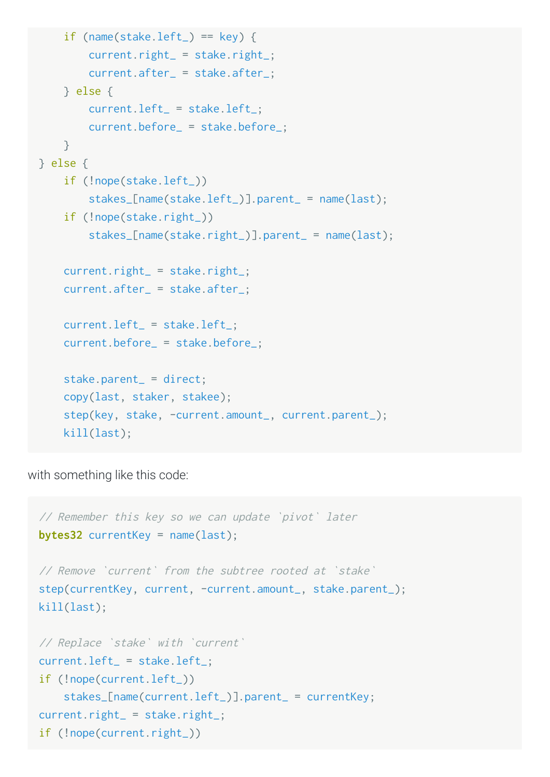```
if (name(stake.left_) == key) {

current.right_ = stake.right_;

current.after_ = stake.after_;

} else {

current.left_ = stake.left_;

current.before_ = stake.before_;

}
} else {

if (!nope(stake.left_))

stakes_[name(stake.left_)].parent_ = name(last);

if (!nope(stake.right_))

stakes_[name(stake.right_)].parent_ = name(last);
    current.right_ = stake.right_;

current.after_ = stake.after_;

current.left_ = stake.left_;

current.before_ = stake.before_;

stake.parent_ = direct;

copy(last, staker, stakee);

step(key, stake, -current.amount_, current.parent_);

kill(last);
```
with something like this code:

```
//
Remember
this
key
so
we
can
update
`pivot`
later
bytes32 currentKey = name(last);
//
Remove
`current`
from
the
subtree
rooted
at
`stake`
step(currentKey, current, -current.amount_, stake.parent_);
kill(last);
//
Replace
`stake`
with
`current`
current.left_ = stake.left_;
if (!nope(current.left_))

stakes_[name(current.left_)].parent_ = currentKey;
current.right_ = stake.right_;
if (!nope(current.right_))
```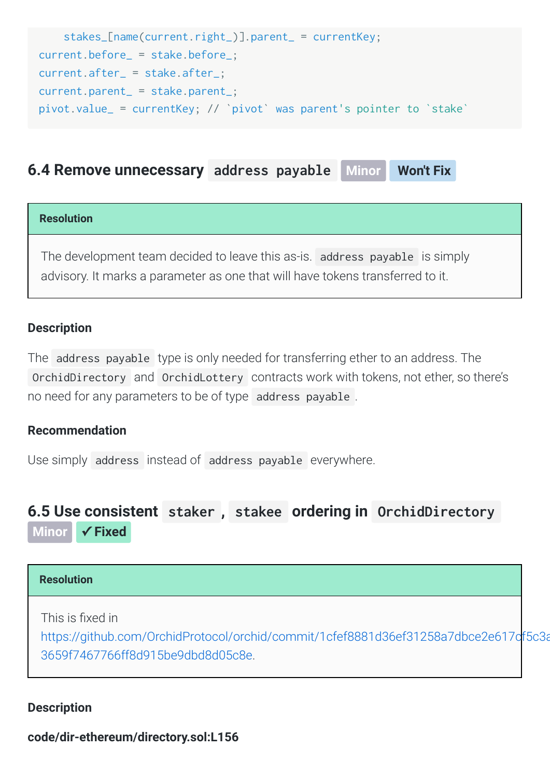```

stakes_[name(current.right_)].parent_ = currentKey;
current.before_ = stake.before_;
current.after_ = stake.after_;
current.parent_ = stake.parent_;
pivot.value_ = currentKey; // `pivot` was parent's
pointer
to
`stake`
```
## <span id="page-13-0"></span>**[6.4
Remove
unnecessary](#page-13-0)  address
payable Minor Won't Fix**

#### **Resolution**

The
development
team
decided
to
leave
this
as-is. address
payable is
simply advisory.
It
marks
a
parameter
as
one
that
will
have
tokens
transferred
to
it.

#### **Description**

The address payable type is only needed for transferring ether to an address. The OrchidDirectory and OrchidLottery contracts work with tokens, not ether, so there's no
need
for
any
parameters
to
be
of
type address
payable .

### **Recommendation**

Use
simply address instead
of address
payable everywhere.

## <span id="page-13-1"></span>**[6.5
Use
consistent](#page-13-1)  staker , stakee ordering
in OrchidDirectory**

**Minor ✓ Fixed**

### **Resolution**

This is fixed in

[https://github.com/OrchidProtocol/orchid/commit/1cfef8881d36ef31258a7dbce2e617cf5c3a](https://github.com/OrchidProtocol/orchid/commit/1cfef8881d36ef31258a7dbce2e617cf5c3adede#diff-3659f7467766ff8d915be9dbd8d05c8e) 3659f7467766ff8d915be9dbd8d05c8e.

#### **Description**

**code/dir-ethereum/directory.sol:L156**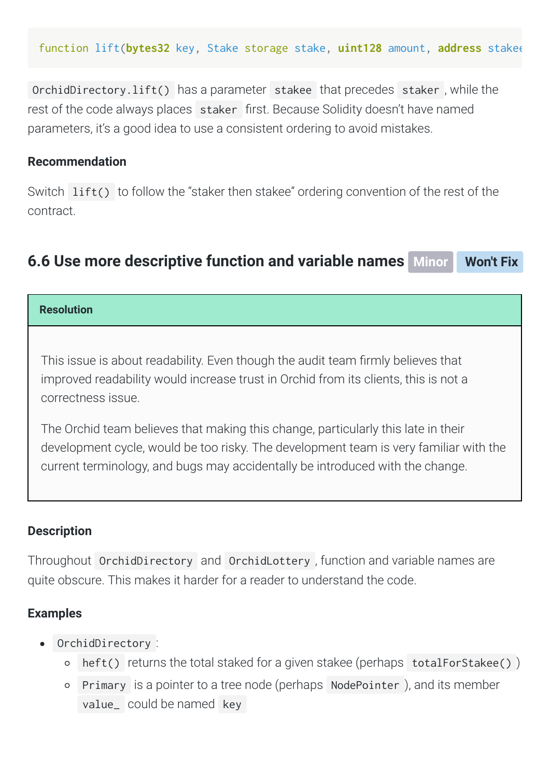function lift(**bytes32** key, Stake storage stake, **uint128** amount, **address** stakee

OrchidDirectory.lift() has
a
parameter stakee that
precedes staker ,
while
the rest of the code always places staker first. Because Solidity doesn't have named parameters,
it's
a
good
idea
to
use
a
consistent
ordering
to
avoid
mistakes.

### **Recommendation**

Switch lift() to follow the "staker then stakee" ordering convention of the rest of the contract.

## <span id="page-14-0"></span>**[6.6
Use
more
descriptive
function
and
variable
names](#page-14-0)  Minor Won't Fix**

#### **Resolution**

This issue is about readability. Even though the audit team firmly believes that improved readability would increase trust in Orchid from its clients, this is not a correctness
issue.

The Orchid team believes that making this change, particularly this late in their development
cycle,
would
be
too
risky.
The
development
team
is
very
familiar
with
the current
terminology,
and
bugs
may
accidentally
be
introduced
with
the
change.

#### **Description**

Throughout OrchidDirectory and OrchidLottery, function and variable names are quite
obscure.
This
makes
it
harder
for
a
reader
to
understand
the
code.

### **Examples**

- OrchidDirectory :
	- o heft() returns the total staked for a given stakee (perhaps totalForStakee())
	- o Primary is a pointer to a tree node (perhaps NodePointer), and its member value\_ could
	be
	named key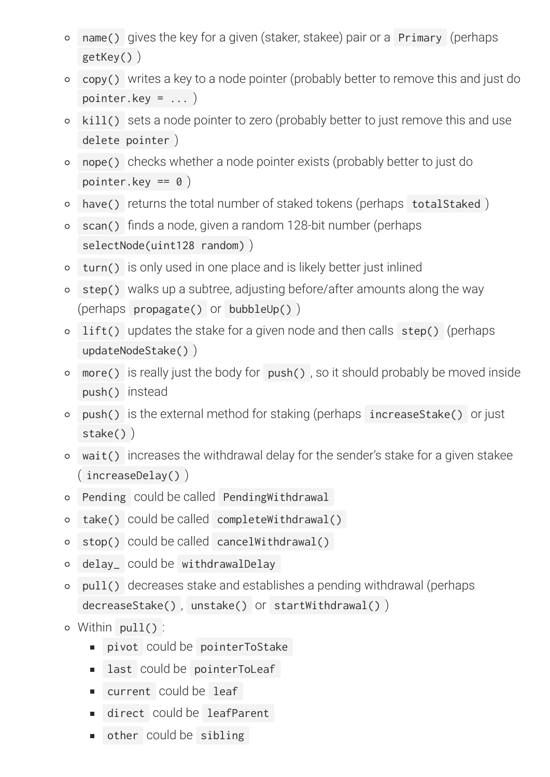- name() gives the key for a given (staker, stakee) pair or a Primary (perhaps  $\circ$ getKey() )
- copy() writes a key to a node pointer (probably better to remove this and just do  $\Omega$ pointer.key =  $\dots$ )
- kill() sets a node pointer to zero (probably better to just remove this and use  $\circ$ delete
pointer )
- nope() checks
whether
a
node
pointer
exists
(probably
better
to
just
do  $\Omega$ pointer.key
==
0 )
- have() returns the total number of staked tokens (perhaps totalStaked)  $\circ$
- scan() finds a node, given a random 128-bit number (perhaps  $\Omega$ selectNode(uint128 random))
- turn() is
only
used
in
one
place
and
is
likely
better
just
inlined  $\circ$
- $\mathsf{step}()$  walks up a subtree, adjusting before/after amounts along the way  $\Omega$ (perhaps propagate() or bubbleUp() )
- lift() updates the stake for a given node and then calls step() (perhaps  $\circ$ updateNodeStake() )
- more() is really just the body for push(), so it should probably be moved inside  $\Omega$ push() instead
- push() is the external method for staking (perhaps increaseStake() or just  $\Omega$ stake() )
- wait() increases
the
withdrawal
delay
for
the
sender's
stake
for
a
given
stakee ( increaseDelay() )
- o Pending could be called PendingWithdrawal
- take() could
be
called completeWithdrawal()  $\circ$
- stop() could be called cancelWithdrawal()  $\circ$
- delay\_ could
be withdrawalDelay  $\circ$
- pull() decreases
stake
and
establishes
a
pending
withdrawal
(perhaps  $\circ$ decreaseStake(), unstake() Or startWithdrawal())
- $\circ$  Within  $pull()$ :
	- pivot could
	be pointerToStake
	- last could be pointerToLeaf
	- current could be leaf
	- direct could be leafParent
	- other could be sibling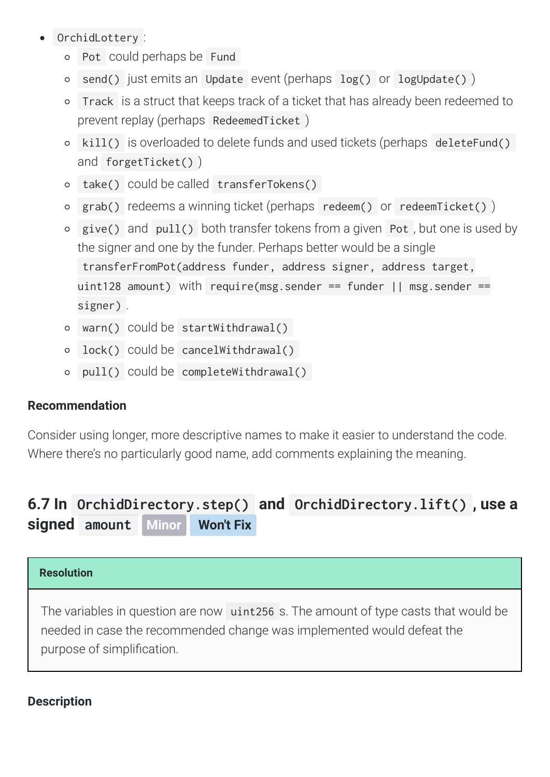- OrchidLottery :
	- o Pot could perhaps be Fund
	- send() just emits an Update event (perhaps log() or logUpdate())  $\Omega$
	- Track is
	a
	struct
	that
	keeps
	track
	of
	a
	ticket
	that
	has
	already
	been
	redeemed
	to  $\Omega$ prevent
	replay
	(perhaps RedeemedTicket )
	- o kill() is overloaded to delete funds and used tickets (perhaps deleteFund() and forgetTicket() )
	- take() could
	be
	called transferTokens()
	- o grab() redeems a winning ticket (perhaps redeem() or redeemTicket())
	- o give() and pull() both transfer tokens from a given Pot, but one is used by the
	signer
	and
	one
	by
	the
	funder.
	Perhaps
	better
	would
	be
	a
	single transferFromPot(address
	funder,
	address
	signer,
	address
	target, uint128 amount) with require(msg.sender == funder  $||$  msg.sender == signer) .
	- warn() could
	be startWithdrawal()
	- lock() could
	be cancelWithdrawal()  $\Omega$
	- pull() could
	be completeWithdrawal()

## **Recommendation**

Consider
using
longer,
more
descriptive
names
to
make
it
easier
to
understand
the
code. Where there's no particularly good name, add comments explaining the meaning.

## <span id="page-16-0"></span>**6.7
In [OrchidDirectory.step\(\)](#page-16-0) and OrchidDirectory.lift() ,
use
a signed amount Minor Won't Fix**

### **Resolution**

The variables in question are now uint256 s. The amount of type casts that would be needed
in
case
the
recommended
change
was
implemented
would
defeat
the purpose
of
simplication.

## **Description**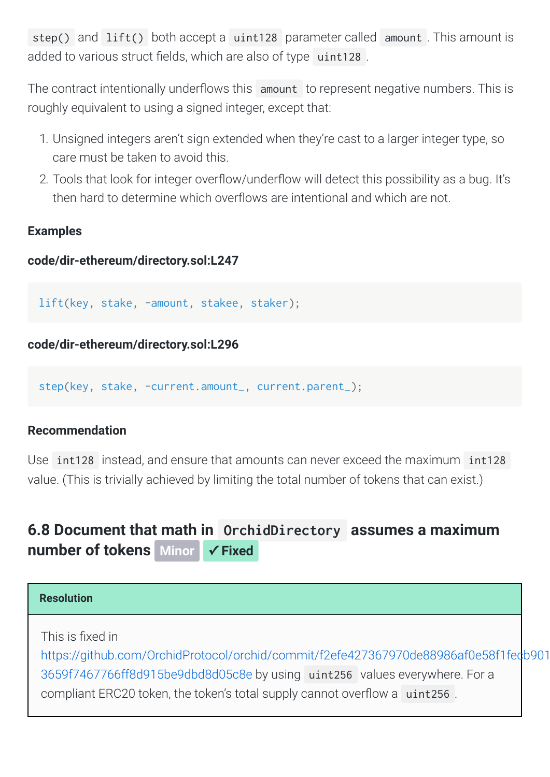step() and lift() both accept a uint128 parameter called amount. This amount is added to various struct fields, which are also of type uint128.

The contract intentionally underflows this amount to represent negative numbers. This is roughly equivalent to using a signed integer, except that:

- 1. Unsigned integers aren't sign extended when they're cast to a larger integer type, so care
must
be
taken
to
avoid
this.
- 2. Tools that look for integer overflow/underflow will detect this possibility as a bug. It's then hard to determine which overflows are intentional and which are not

### **Examples**

### **code/dir-ethereum/directory.sol:L247**

lift(key, stake, -amount, stakee, staker);

## **code/dir-ethereum/directory.sol:L296**

step(key, stake, -current.amount\_, current.parent\_);

### **Recommendation**

Use int128 instead, and ensure that amounts can never exceed the maximum int128 value. (This is trivially achieved by limiting the total number of tokens that can exist.)

## <span id="page-17-0"></span>**[6.8
Document
that
math
in](#page-17-0)  OrchidDirectory assumes
a
maximum number of tokens** Minor √ **Fixed**

| <b>Resolution</b>                                                                                                                                                  |  |
|--------------------------------------------------------------------------------------------------------------------------------------------------------------------|--|
| This is fixed in                                                                                                                                                   |  |
| https://github.com/OrchidProtocol/orchid/commit/f2efe427367970de88986af0e58f1fedb901<br>3659f7467766ff8d915be9dbd8d05c8e by using uint256 values everywhere. For a |  |
| compliant ERC20 token, the token's total supply cannot overflow a uint256.                                                                                         |  |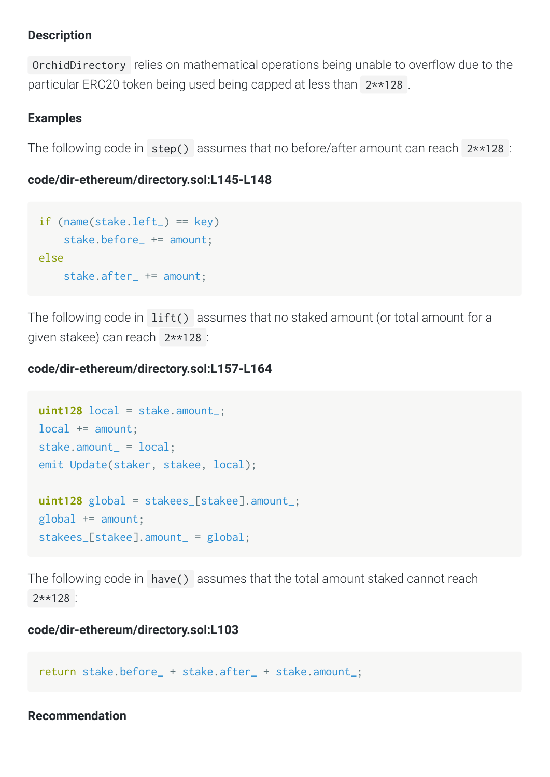### **Description**

OrchidDirectory relies on mathematical operations being unable to overflow due to the particular ERC20 token being used being capped at less than 2\*\*128.

## **Examples**

The following code in step() assumes that no before/after amount can reach 2\*\*128 :

### **code/dir-ethereum/directory.sol:L145-L148**

```
if (name(state.left_ ) == key)stake.before += amount:
else

stake.after_ += amount;
```
The following code in lift() assumes that no staked amount (or total amount for a given
stakee)
can
reach 2\*\*128 :

### **code/dir-ethereum/directory.sol:L157-L164**

```
uint128 local = stake.amount_;
local += amount;
stake.amount_ = local;
emit Update(staker, stakee, local);
uint128 global = stakees_[stakee].amount_;
global += amount;
stakees_[stakee].amount_ = global;
```
The following code in have() assumes that the total amount staked cannot reach 2\*\*128 :

### **code/dir-ethereum/directory.sol:L103**

```
return stake.before_ + stake.after_ + stake.amount_;
```
#### **Recommendation**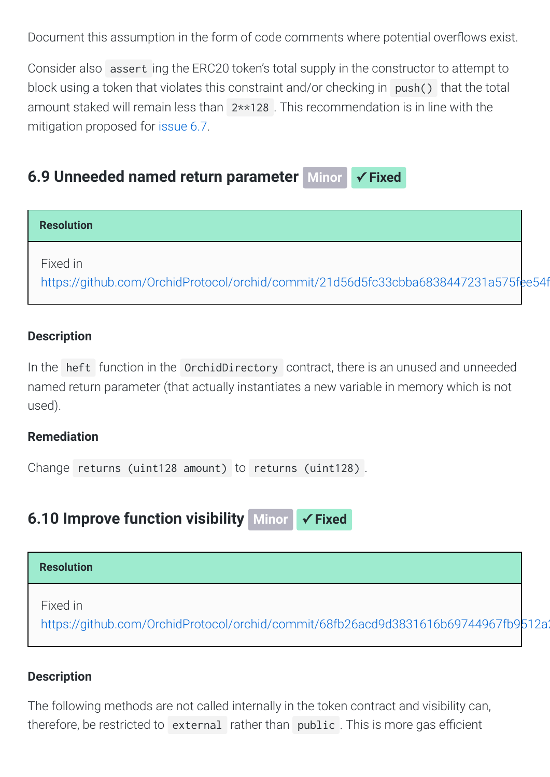Document this assumption in the form of code comments where potential overflows exist.

Consider also assert ing the ERC20 token's total supply in the constructor to attempt to block using a token that violates this constraint and/or checking in push() that the total amount staked will remain less than 2\*\*128. This recommendation is in line with the mitigation
proposed
for [issue
6.7](#page-16-0).

## <span id="page-19-0"></span>**[6.9
Unneeded
named
return
parameter](#page-19-0)  Minor ✓ Fixed**



## **Description**

In the heft function in the OrchidDirectory contract, there is an unused and unneeded named
return
parameter
(that
actually
instantiates
a
new
variable
in
memory
which
is
not used).

### **Remediation**

Change returns (uint128 amount) to returns (uint128).

<span id="page-19-1"></span>**[6.10
Improve
function
visibility](#page-19-1)  Minor ✓ Fixed**



## **Description**

The following methods are not called internally in the token contract and visibility can, therefore, be restricted to external rather than public. This is more gas efficient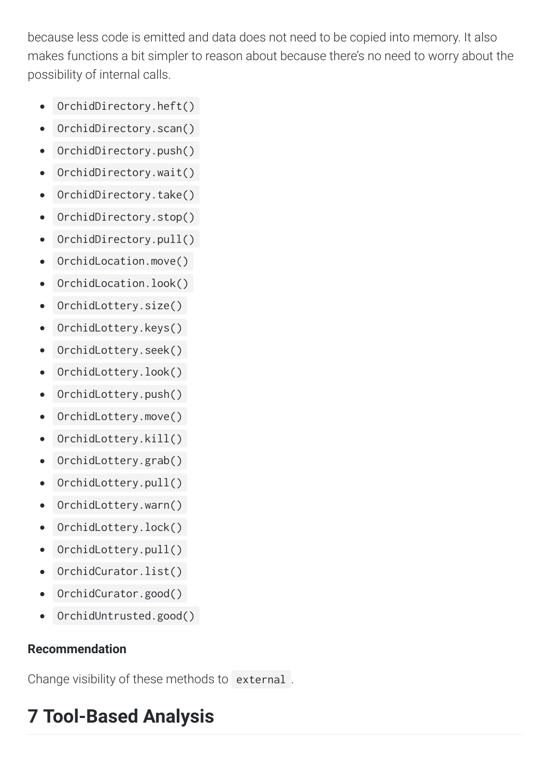because less code is emitted and data does not need to be copied into memory. It also makes functions a bit simpler to reason about because there's no need to worry about the possibility of internal calls.

- OrchidDirectory.heft()  $\bullet$
- OrchidDirectory.scan()  $\bullet$
- OrchidDirectory.push()  $\bullet$
- OrchidDirectory.wait()  $\bullet$
- OrchidDirectory.take()  $\bullet$
- OrchidDirectory.stop()  $\bullet$
- OrchidDirectory.pull()  $\bullet$
- OrchidLocation.move()  $\bullet$
- OrchidLocation.look()  $\bullet$
- OrchidLottery.size()  $\bullet$
- OrchidLottery.keys()  $\bullet$
- OrchidLottery.seek()  $\bullet$
- OrchidLottery.look()  $\bullet$
- OrchidLottery.push()  $\bullet$
- OrchidLottery.move()  $\bullet$
- OrchidLottery.kill()  $\bullet$
- OrchidLottery.grab()  $\bullet$
- OrchidLottery.pull()  $\bullet$
- OrchidLottery.warn()  $\bullet$
- OrchidLottery.lock()  $\bullet$
- OrchidLottery.pull()  $\bullet$
- OrchidCurator.list()  $\bullet$
- OrchidCurator.good()  $\bullet$
- OrchidUntrusted.good()  $\bullet$

## **Recommendation**

Change visibility of these methods to external.

# <span id="page-20-0"></span>**7
Tool-Based
Analysis**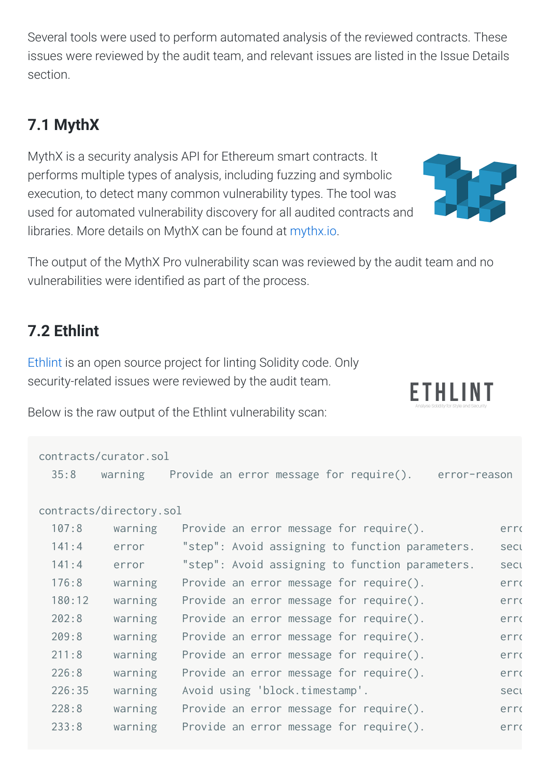Several tools were used to perform automated analysis of the reviewed contracts. These issues were reviewed by the audit team, and relevant issues are listed in the Issue Details section.

# <span id="page-21-0"></span>**7.1
MythX**

MythX
is
a
security
analysis
API
for
Ethereum
smart
contracts.
It performs
multiple
types
of
analysis,
including
fuzzing
and
symbolic execution,
to
detect
many
common
vulnerability
types.
The
tool
was used
for
automated
vulnerability
discovery
for
all
audited
contracts
and libraries. More details on MythX can be found at [mythx.io.](https://mythx.io/)



ETHLINT

The output of the MythX Pro vulnerability scan was reviewed by the audit team and no vulnerabilities were identified as part of the process.

# <span id="page-21-1"></span>**7.2
Ethlint**

Ethlint is an open source project for linting Solidity code. Only security-related
issues
were
reviewed
by
the
audit
team.

Below is the raw output of the Ethlint vulnerability scan:

|        | contracts/curator.sol   |                                                         |      |
|--------|-------------------------|---------------------------------------------------------|------|
| 35:8   | warning                 | Provide an error message for require().<br>error-reason |      |
|        |                         |                                                         |      |
|        | contracts/directory.sol |                                                         |      |
| 107:8  | warning                 | Provide an error message for require().                 | erro |
| 141:4  | error                   | "step": Avoid assigning to function parameters.         | sect |
| 141:4  | error                   | "step": Avoid assigning to function parameters.         | sect |
| 176:8  | warning                 | Provide an error message for require().                 | erro |
| 180:12 | warning                 | Provide an error message for require().                 | erro |
| 202:8  | warning                 | Provide an error message for require().                 | erro |
| 209:8  | warning                 | Provide an error message for require().                 | erro |
| 211:8  | warning                 | Provide an error message for require().                 | erro |
| 226:8  | warning                 | Provide an error message for require().                 | erro |
| 226:35 | warning                 | Avoid using 'block.timestamp'.                          | secu |
| 228:8  | warning                 | Provide an error message for require().                 | erro |
| 233:8  | warning                 | Provide an error message for require().                 | erro |
|        |                         |                                                         |      |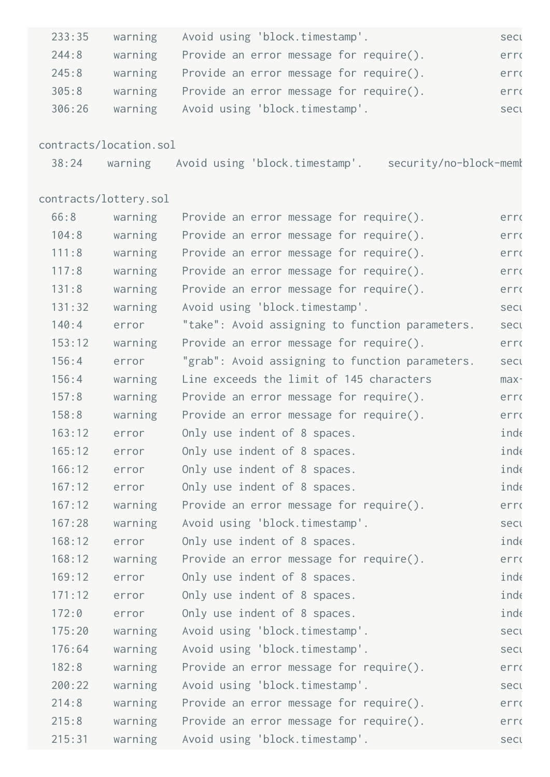| 233:35 | warning                | Avoid using 'block.timestamp'.                                | secu |
|--------|------------------------|---------------------------------------------------------------|------|
| 244:8  | warning                | Provide an error message for require().                       | erro |
| 245:8  | warning                | Provide an error message for require().                       | erro |
| 305:8  | warning                | Provide an error message for require().                       | erro |
| 306:26 | warning                | Avoid using 'block.timestamp'.                                | secu |
|        | contracts/location.sol |                                                               |      |
| 38:24  |                        | warning Avoid using 'block.timestamp'. security/no-block-memk |      |
|        | contracts/lottery.sol  |                                                               |      |
| 66:8   | warning                | Provide an error message for require().                       | erro |
| 104:8  | warning                | Provide an error message for require().                       | erro |
| 111:8  | warning                | Provide an error message for require().                       | erro |
| 117:8  | warning                | Provide an error message for require().                       | erro |
| 131:8  | warning                | Provide an error message for require().                       | erro |
| 131:32 | warning                | Avoid using 'block.timestamp'.                                | secu |
| 140:4  | error                  | "take": Avoid assigning to function parameters.               | secu |
| 153:12 | warning                | Provide an error message for require().                       | erro |
| 156:4  | error                  | "grab": Avoid assigning to function parameters.               | sect |
| 156:4  | warning                | Line exceeds the limit of 145 characters                      | max- |
| 157:8  | warning                | Provide an error message for require().                       | erro |
| 158:8  | warning                | Provide an error message for require().                       | erro |
| 163:12 | error                  | Only use indent of 8 spaces.                                  | inde |
| 165:12 | error                  | Only use indent of 8 spaces.                                  | inde |
| 166:12 | error                  | Only use indent of 8 spaces.                                  | inde |
| 167:12 | error                  | Only use indent of 8 spaces.                                  | inde |
| 167:12 | warning                | Provide an error message for require().                       | erro |
| 167:28 | warning                | Avoid using 'block.timestamp'.                                | secu |
| 168:12 | error                  | Only use indent of 8 spaces.                                  | inde |
| 168:12 | warning                | Provide an error message for require().                       | erro |
| 169:12 | error                  | Only use indent of 8 spaces.                                  | inde |
| 171:12 | error                  | Only use indent of 8 spaces.                                  | inde |
| 172:0  | error                  | Only use indent of 8 spaces.                                  | inde |
| 175:20 | warning                | Avoid using 'block.timestamp'.                                | secu |
| 176:64 | warning                | Avoid using 'block.timestamp'.                                | secu |
| 182:8  | warning                | Provide an error message for require().                       | erro |
| 200:22 | warning                | Avoid using 'block.timestamp'.                                | sect |
| 214:8  | warning                | Provide an error message for require().                       | erro |
| 215:8  | warning                | Provide an error message for require().                       | erro |
| 215:31 | warning                | Avoid using 'block.timestamp'.                                | secu |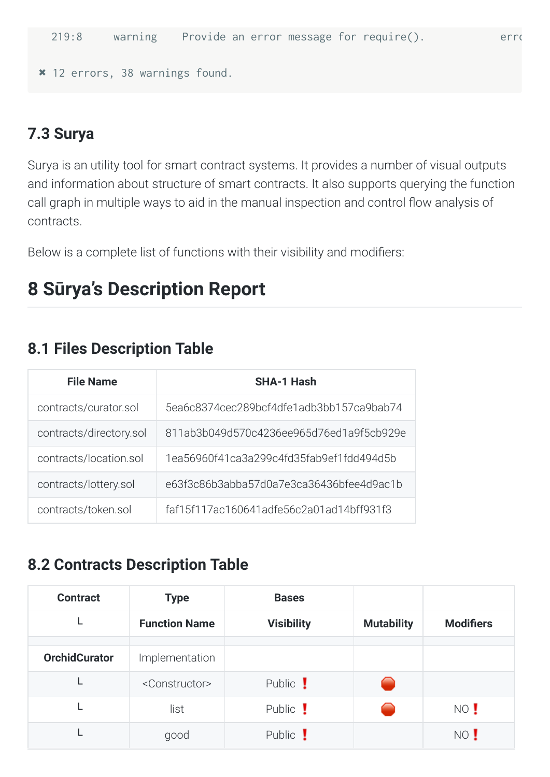```
✖
12
errors,
38
warnings
found.
```
## <span id="page-23-0"></span>**7.3
Surya**

Surya is an utility tool for smart contract systems. It provides a number of visual outputs and
information
about
structure
of
smart
contracts.
It
also
supports
querying
the
function call graph in multiple ways to aid in the manual inspection and control flow analysis of contracts.

Below is a complete list of functions with their visibility and modifiers:

# **8
Sūrya's
Description
Report**

## <span id="page-23-1"></span>**8.1
Files
Description
Table**

| <b>File Name</b>        | <b>SHA-1 Hash</b>                        |
|-------------------------|------------------------------------------|
| contracts/curator.sol   | 5ea6c8374cec289bcf4dfe1adb3bb157ca9bab74 |
| contracts/directory.sol | 811ab3b049d570c4236ee965d76ed1a9f5cb929e |
| contracts/location.sol  | 1ea56960f41ca3a299c4fd35fab9ef1fdd494d5b |
| contracts/lottery.sol   | e63f3c86b3abba57d0a7e3ca36436bfee4d9ac1b |
| contracts/token.sol     | faf15f117ac160641adfe56c2a01ad14bff931f3 |

## <span id="page-23-2"></span>**8.2
Contracts
Description
Table**

| <b>Contract</b>      | <b>Type</b>                 | <b>Bases</b>      |                   |                  |
|----------------------|-----------------------------|-------------------|-------------------|------------------|
|                      | <b>Function Name</b>        | <b>Visibility</b> | <b>Mutability</b> | <b>Modifiers</b> |
|                      |                             |                   |                   |                  |
| <b>OrchidCurator</b> | Implementation              |                   |                   |                  |
|                      | <constructor></constructor> | Public !          |                   |                  |
|                      | list                        | Public !          |                   | NO !             |
|                      | good                        | Public !          |                   | NO !             |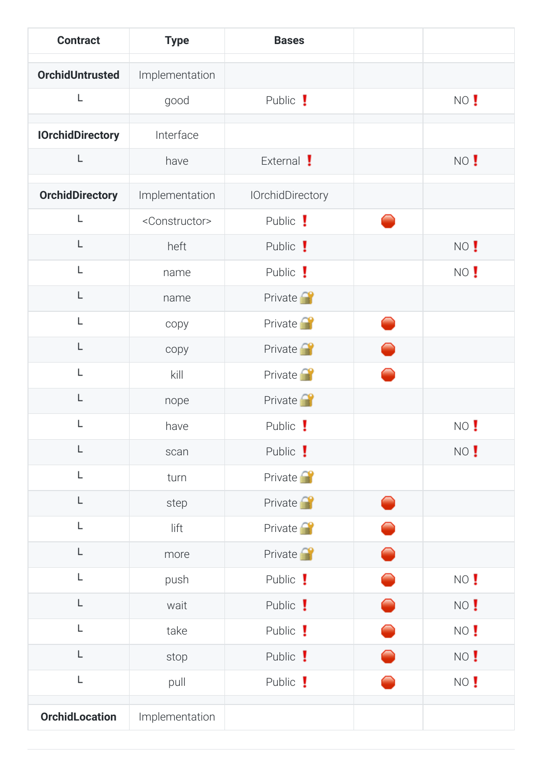| <b>Contract</b>         | <b>Type</b>                 | <b>Bases</b>            |      |
|-------------------------|-----------------------------|-------------------------|------|
| <b>OrchidUntrusted</b>  | Implementation              |                         |      |
| L                       | good                        | Public !                | NO ! |
| <b>IOrchidDirectory</b> | Interface                   |                         |      |
| L                       | have                        | External !              | NO ! |
| <b>OrchidDirectory</b>  | Implementation              | <b>IOrchidDirectory</b> |      |
| L                       | <constructor></constructor> | Public !                |      |
| L                       | heft                        | Public !                | NO ! |
| L                       | name                        | Public !                | NO ! |
| L                       |                             |                         |      |
| L                       | name                        | Private <sup>2</sup>    |      |
| L                       | copy                        | Private <sup>2</sup>    |      |
|                         | copy                        | Private <sup>2</sup>    |      |
| L                       | kill                        | Private <sup>2</sup>    |      |
| L                       | nope                        | Private <sup>2</sup>    |      |
| L                       | have                        | Public !                | NO ! |
| L                       | scan                        | Public !                | NO ! |
| L                       | turn                        | Private <sup>2</sup>    |      |
| L                       | step                        | Private <sup>2</sup>    |      |
| L                       | lift                        | Private <sup>2</sup>    |      |
| L                       | more                        | Private <sup>2</sup>    |      |
| L                       | push                        | Public !                | NO ! |
| L                       | wait                        | Public !                | NO ! |
| L                       | take                        | Public !                | NO ! |
| L                       | stop                        | Public !                | NO ! |
| L                       | pull                        | Public !                | NO ! |
| <b>OrchidLocation</b>   | Implementation              |                         |      |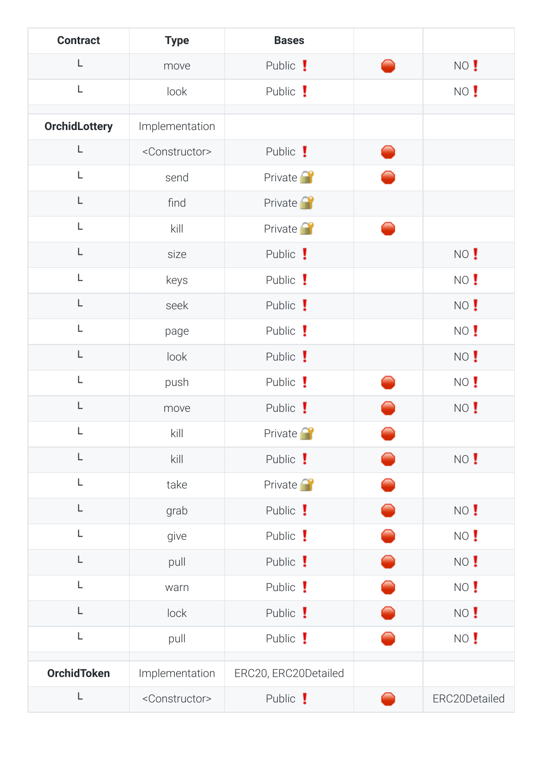| <b>Contract</b>      | <b>Type</b>                 | <b>Bases</b>         |               |
|----------------------|-----------------------------|----------------------|---------------|
| L                    | move                        | Public !             | NO !          |
| L                    | look                        | Public !             | NO !          |
| <b>OrchidLottery</b> | Implementation              |                      |               |
| L                    | <constructor></constructor> | Public !             |               |
| L                    | send                        | Private <sup>2</sup> |               |
| L                    | find                        | Private <sup>2</sup> |               |
| L                    | kill                        | Private <sup>2</sup> |               |
| L                    | size                        | Public !             | NO !          |
| L                    | keys                        | Public !             | NO !          |
| L                    | seek                        | Public !             | NO !          |
| L                    | page                        | Public !             | NO !          |
| L                    | look                        | Public !             | NO !          |
| L                    | push                        | Public !             | NO !          |
| L                    | move                        | Public !             | NO !          |
| L                    | kill                        | Private <sup>1</sup> |               |
| L                    | kill                        | Public !             | NO !          |
| L                    | take                        | Private <sup>2</sup> |               |
| L                    | grab                        | Public !             | NO !          |
| L                    | give                        | Public !             | NO !          |
| L                    | pull                        | Public !             | NO !          |
| L                    | warn                        | Public !             | NO !          |
| L                    | lock                        | Public !             | NO !          |
| L                    | pull                        | Public !             | NO !          |
| <b>OrchidToken</b>   | Implementation              | ERC20, ERC20Detailed |               |
| L                    | <constructor></constructor> | Public !             | ERC20Detailed |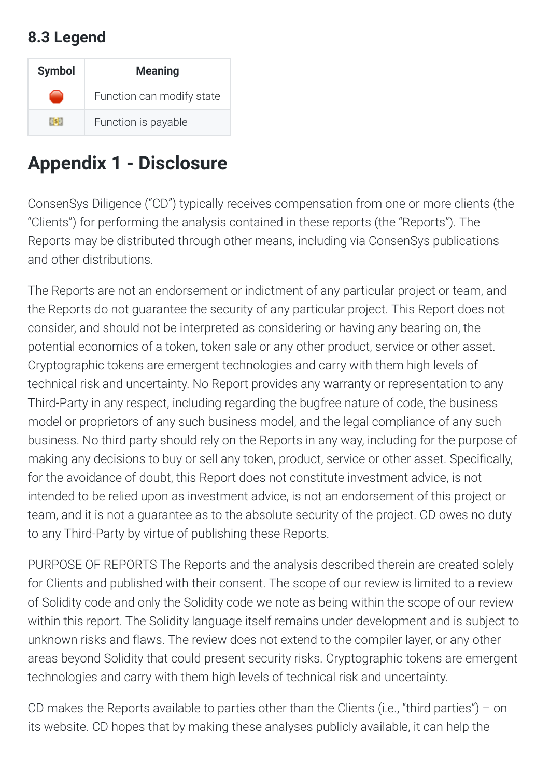## <span id="page-26-0"></span>**8.3
Legend**

| <b>Symbol</b> | <b>Meaning</b>            |
|---------------|---------------------------|
|               | Function can modify state |
|               | Function is payable       |

# <span id="page-26-1"></span>**Appendix
1
Disclosure**

ConsenSys
Diligence
("CD")
typically
receives
compensation
from
one
or
more
clients
(the "Clients") for performing the analysis contained in these reports (the "Reports"). The Reports may be distributed through other means, including via ConsenSys publications and
other
distributions.

The Reports are not an endorsement or indictment of any particular project or team, and the
Reports
do
not
guarantee
the
security
of
any
particular
project.
This
Report
does
not consider, and should not be interpreted as considering or having any bearing on, the potential economics of a token, token sale or any other product, service or other asset. Cryptographic
tokens
are
emergent
technologies
and
carry
with
them
high
levels
of technical risk and uncertainty. No Report provides any warranty or representation to any Third-Party in any respect, including regarding the bugfree nature of code, the business model or proprietors of any such business model, and the legal compliance of any such business.
No
third
party
should
rely
on
the
Reports
in
any
way,
including
for
the
purpose
of making any decisions to buy or sell any token, product, service or other asset. Specifically, for the avoidance of doubt, this Report does not constitute investment advice, is not intended to be relied upon as investment advice, is not an endorsement of this project or team, and it is not a guarantee as to the absolute security of the project. CD owes no duty to
any
Third-Party
by
virtue
of
publishing
these
Reports.

PURPOSE OF REPORTS The Reports and the analysis described therein are created solely for Clients and published with their consent. The scope of our review is limited to a review of Solidity code and only the Solidity code we note as being within the scope of our review within this report. The Solidity language itself remains under development and is subject to unknown risks and flaws. The review does not extend to the compiler layer, or any other areas
beyond
Solidity
that
could
present
security
risks.
Cryptographic
tokens
are
emergent technologies and carry with them high levels of technical risk and uncertainty.

CD makes the Reports available to parties other than the Clients (i.e., "third parties") – on its website. CD hopes that by making these analyses publicly available, it can help the